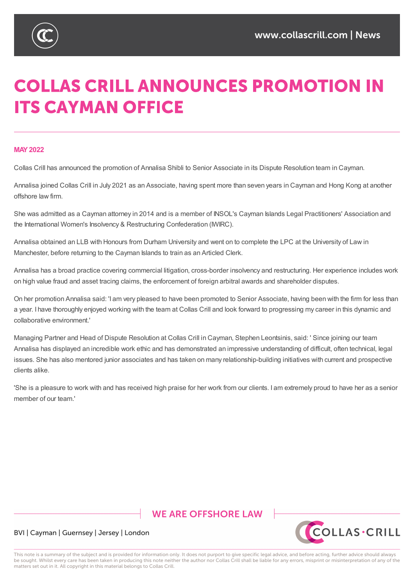



# **COLLAS CRILL ANNOUNCES PROMOTION IN ITS CAYMAN OFFICE**

### **MAY2022**

Collas Crill has announced the promotion of Annalisa Shibli to Senior Associate in its Dispute Resolution team in Cayman.

Annalisa joined Collas Crill in July 2021 as an Associate, having spent more than seven years in Cayman and Hong Kong at another offshore law firm.

She was admitted as a Cayman attorney in 2014 and is a member of INSOL's Cayman Islands Legal Practitioners' Association and the International Women's Insolvency & Restructuring Confederation (IWIRC).

Annalisa obtained an LLB with Honours from Durham University and went on to complete the LPC at the University of Law in Manchester, before returning to the Cayman Islands to train as an Articled Clerk.

Annalisa has a broad practice covering commercial litigation, cross-border insolvency and restructuring. Her experience includes work on high value fraud and asset tracing claims, the enforcement of foreign arbitral awards and shareholder disputes.

On her promotion Annalisa said: 'I am very pleased to have been promoted to Senior Associate, having been with the firm for less than a year. I have thoroughly enjoyed working with the team at Collas Crill and look forward to progressing my career in this dynamic and collaborative environment.'

Managing Partner and Head of Dispute Resolution at Collas Crill in Cayman, Stephen Leontsinis, said: ' Since joining our team Annalisa has displayed an incredible work ethic and has demonstrated an impressive understanding of difficult, often technical, legal issues. She has also mentored junior associates and has taken on many relationship-building initiatives with current and prospective clients alike.

'She is a pleasure to work with and has received high praise for her work from our clients. I am extremely proud to have her as a senior member of our team.'

# **WE ARE OFFSHORE I AW**



## BVI | Cayman | Guernsey | Jersey | London

This note is a summary of the subject and is provided for information only. It does not purport to give specific legal advice, and before acting, further advice should always be sought. Whilst every care has been taken in producing this note neither the author nor Collas Crill shall be liable for any errors, misprint or misinterpretation of any of the matters set out in it. All copyright in this material belongs to Collas Crill.